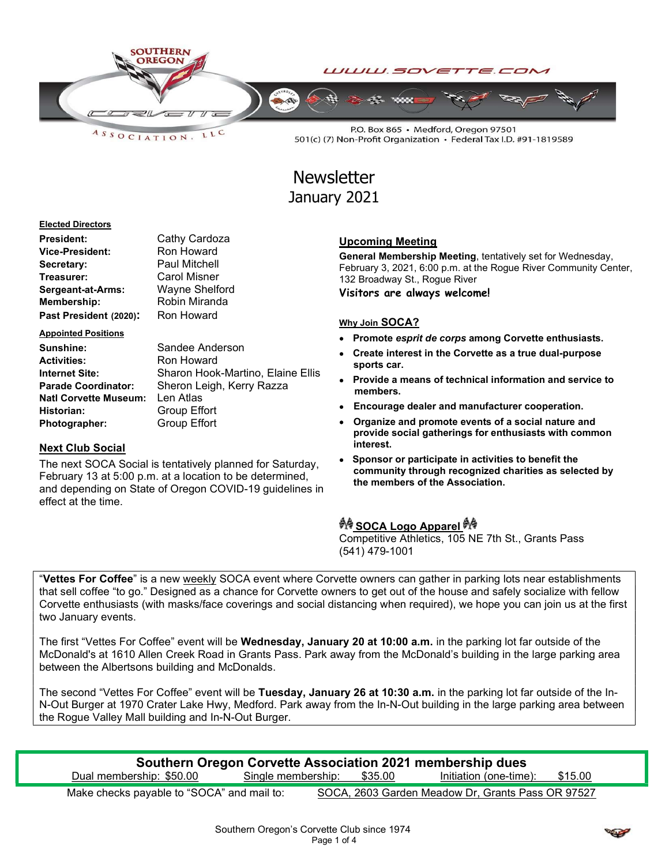

 $A S S O C I AT I O N.$ LLC

P.O. Box 865 · Medford, Oregon 97501 501(c) (7) Non-Profit Organization • Federal Tax I.D. #91-1819589

# **Newsletter** January 2021

#### Elected Directors

| <b>President:</b>      | Cathy Cardoza        |
|------------------------|----------------------|
| <b>Vice-President:</b> | Ron Howard           |
| Secretary:             | <b>Paul Mitchell</b> |
| Treasurer:             | Carol Misner         |
| Sergeant-at-Arms:      | Wayne Shelford       |
| Membership:            | Robin Miranda        |
| Past President (2020): | Ron Howard           |

Appointed Positions Sunshine: Sandee Anderson Activities: Ron Howard

Internet Site: Sharon Hook-Martino, Elaine Ellis Parade Coordinator: Sheron Leigh, Kerry Razza Natl Corvette Museum: Len Atlas Historian: Group Effort Photographer: Group Effort

#### Next Club Social

The next SOCA Social is tentatively planned for Saturday, February 13 at 5:00 p.m. at a location to be determined, and depending on State of Oregon COVID-19 guidelines in effect at the time.

#### Upcoming Meeting

General Membership Meeting, tentatively set for Wednesday, February 3, 2021, 6:00 p.m. at the Rogue River Community Center, 132 Broadway St., Rogue River Visitors are always welcome!

#### Why Join SOCA?

- Promote esprit de corps among Corvette enthusiasts.
- Create interest in the Corvette as a true dual-purpose sports car.
- Provide a means of technical information and service to members.
- Encourage dealer and manufacturer cooperation.
- Organize and promote events of a social nature and provide social gatherings for enthusiasts with common interest.
- Sponsor or participate in activities to benefit the community through recognized charities as selected by the members of the Association.

## *री*∜ SOCA Logo Apparel <sup>है</sup>!∜

Competitive Athletics, 105 NE 7th St., Grants Pass (541) 479-1001

"Vettes For Coffee" is a new weekly SOCA event where Corvette owners can gather in parking lots near establishments that sell coffee "to go." Designed as a chance for Corvette owners to get out of the house and safely socialize with fellow Corvette enthusiasts (with masks/face coverings and social distancing when required), we hope you can join us at the first two January events.

The first "Vettes For Coffee" event will be Wednesday, January 20 at 10:00 a.m. in the parking lot far outside of the McDonald's at 1610 Allen Creek Road in Grants Pass. Park away from the McDonald's building in the large parking area between the Albertsons building and McDonalds.

The second "Vettes For Coffee" event will be Tuesday, January 26 at 10:30 a.m. in the parking lot far outside of the In-N-Out Burger at 1970 Crater Lake Hwy, Medford. Park away from the In-N-Out building in the large parking area between the Rogue Valley Mall building and In-N-Out Burger.

| Southern Oregon Corvette Association 2021 membership dues |                            |  |                                |  |
|-----------------------------------------------------------|----------------------------|--|--------------------------------|--|
| Dual membership: \$50.00                                  | Single membership: \$35.00 |  | Initiation (one-time): \$15.00 |  |
|                                                           |                            |  |                                |  |

Make checks payable to "SOCA" and mail to: SOCA, 2603 Garden Meadow Dr, Grants Pass OR 97527

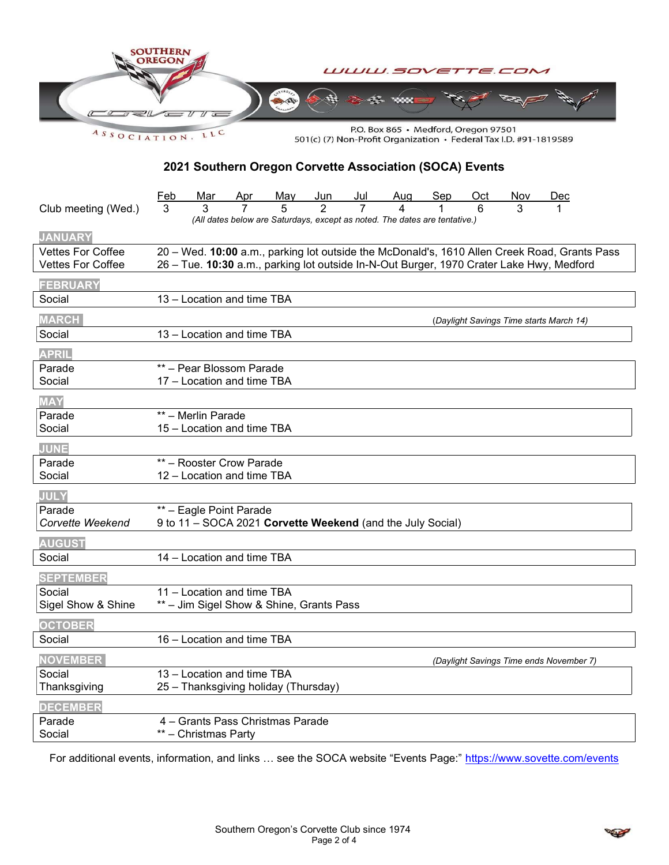

ASSOCIATION. LLC

P.O. Box 865 · Medford, Oregon 97501 501(c) (7) Non-Profit Organization • Federal Tax I.D. #91-1819589

## 2021 Southern Oregon Corvette Association (SOCA) Events

| Club meeting (Wed.)      | Feb<br>May Jun Jul<br>5 2 7<br>Aug<br>Sep<br><u>Oct</u><br>Nov<br>Mar<br>Dec<br>3<br>(All dates below are Saturdays, except as noted. The dates are tentative.) |
|--------------------------|-----------------------------------------------------------------------------------------------------------------------------------------------------------------|
| <b>JANUARY</b>           |                                                                                                                                                                 |
| <b>Vettes For Coffee</b> | 20 - Wed. 10:00 a.m., parking lot outside the McDonald's, 1610 Allen Creek Road, Grants Pass                                                                    |
| <b>Vettes For Coffee</b> | 26 - Tue. 10:30 a.m., parking lot outside In-N-Out Burger, 1970 Crater Lake Hwy, Medford                                                                        |
| <b>FEBRUARY</b>          |                                                                                                                                                                 |
| Social                   | 13 - Location and time TBA                                                                                                                                      |
| <b>MARCH</b>             | (Daylight Savings Time starts March 14)                                                                                                                         |
| Social                   | 13 - Location and time TBA                                                                                                                                      |
| <b>APRIL</b>             |                                                                                                                                                                 |
| Parade                   | ** - Pear Blossom Parade                                                                                                                                        |
| Social                   | 17 - Location and time TBA                                                                                                                                      |
| <b>MAY</b>               |                                                                                                                                                                 |
| Parade                   | ** - Merlin Parade                                                                                                                                              |
| Social                   | 15 - Location and time TBA                                                                                                                                      |
| JUNE                     |                                                                                                                                                                 |
| Parade                   | ** - Rooster Crow Parade                                                                                                                                        |
| Social                   | 12 - Location and time TBA                                                                                                                                      |
| <b>JULY</b>              |                                                                                                                                                                 |
| Parade                   | ** - Eagle Point Parade                                                                                                                                         |
| Corvette Weekend         | 9 to 11 - SOCA 2021 Corvette Weekend (and the July Social)                                                                                                      |
| <b>AUGUST</b>            |                                                                                                                                                                 |
| Social                   | 14 - Location and time TBA                                                                                                                                      |
| <b>SEPTEMBER</b>         |                                                                                                                                                                 |
| Social                   | 11 - Location and time TBA                                                                                                                                      |
| Sigel Show & Shine       | ** - Jim Sigel Show & Shine, Grants Pass                                                                                                                        |
| <b>OCTOBER</b>           |                                                                                                                                                                 |
| Social                   | 16 - Location and time TBA                                                                                                                                      |
| <b>NOVEMBER</b>          | (Daylight Savings Time ends November 7)                                                                                                                         |
| Social                   | 13 - Location and time TBA                                                                                                                                      |
| Thanksgiving             | 25 - Thanksgiving holiday (Thursday)                                                                                                                            |
| <b>DECEMBER</b>          |                                                                                                                                                                 |
| Parade                   | 4 - Grants Pass Christmas Parade                                                                                                                                |
| Social                   | ** - Christmas Party                                                                                                                                            |

For additional events, information, and links ... see the SOCA website "Events Page:" https://www.sovette.com/events

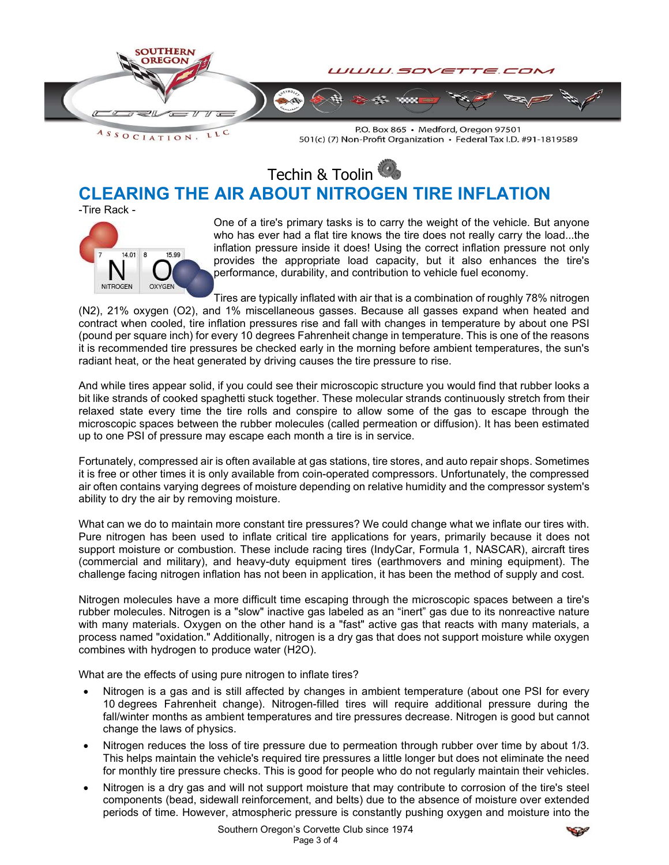

LLC  $A S S O C I AT I O N.$ 

P.O. Box 865 · Medford, Oregon 97501 501(c) (7) Non-Profit Organization • Federal Tax I.D. #91-1819589

Techin & Toolin

## CLEARING THE AIR ABOUT NITROGEN TIRE INFLATION

-Tire Rack -



One of a tire's primary tasks is to carry the weight of the vehicle. But anyone who has ever had a flat tire knows the tire does not really carry the load...the inflation pressure inside it does! Using the correct inflation pressure not only provides the appropriate load capacity, but it also enhances the tire's performance, durability, and contribution to vehicle fuel economy.

Tires are typically inflated with air that is a combination of roughly 78% nitrogen

(N2), 21% oxygen (O2), and 1% miscellaneous gasses. Because all gasses expand when heated and contract when cooled, tire inflation pressures rise and fall with changes in temperature by about one PSI (pound per square inch) for every 10 degrees Fahrenheit change in temperature. This is one of the reasons it is recommended tire pressures be checked early in the morning before ambient temperatures, the sun's radiant heat, or the heat generated by driving causes the tire pressure to rise.

And while tires appear solid, if you could see their microscopic structure you would find that rubber looks a bit like strands of cooked spaghetti stuck together. These molecular strands continuously stretch from their relaxed state every time the tire rolls and conspire to allow some of the gas to escape through the microscopic spaces between the rubber molecules (called permeation or diffusion). It has been estimated up to one PSI of pressure may escape each month a tire is in service.

Fortunately, compressed air is often available at gas stations, tire stores, and auto repair shops. Sometimes it is free or other times it is only available from coin-operated compressors. Unfortunately, the compressed air often contains varying degrees of moisture depending on relative humidity and the compressor system's ability to dry the air by removing moisture.

What can we do to maintain more constant tire pressures? We could change what we inflate our tires with. Pure nitrogen has been used to inflate critical tire applications for years, primarily because it does not support moisture or combustion. These include racing tires (IndyCar, Formula 1, NASCAR), aircraft tires (commercial and military), and heavy-duty equipment tires (earthmovers and mining equipment). The challenge facing nitrogen inflation has not been in application, it has been the method of supply and cost.

Nitrogen molecules have a more difficult time escaping through the microscopic spaces between a tire's rubber molecules. Nitrogen is a "slow" inactive gas labeled as an "inert" gas due to its nonreactive nature with many materials. Oxygen on the other hand is a "fast" active gas that reacts with many materials, a process named "oxidation." Additionally, nitrogen is a dry gas that does not support moisture while oxygen combines with hydrogen to produce water (H2O).

What are the effects of using pure nitrogen to inflate tires?

- Nitrogen is a gas and is still affected by changes in ambient temperature (about one PSI for every 10 degrees Fahrenheit change). Nitrogen-filled tires will require additional pressure during the fall/winter months as ambient temperatures and tire pressures decrease. Nitrogen is good but cannot change the laws of physics.
- Nitrogen reduces the loss of tire pressure due to permeation through rubber over time by about 1/3. This helps maintain the vehicle's required tire pressures a little longer but does not eliminate the need for monthly tire pressure checks. This is good for people who do not regularly maintain their vehicles.
- Nitrogen is a dry gas and will not support moisture that may contribute to corrosion of the tire's steel components (bead, sidewall reinforcement, and belts) due to the absence of moisture over extended periods of time. However, atmospheric pressure is constantly pushing oxygen and moisture into the